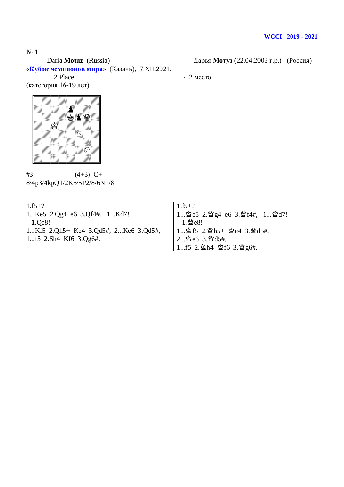Daria **Motuz** (Russia) - Дарья **Мотуз** (22.04.2003 г.р.) (Россия) «**Кубок чемпионов мира**» (Казань), 7.XII.2021. 2 Place - 2 место

(категория 16-19 лет)



 $#3$  (4+3) C+ 8/4p3/4kpQ1/2K5/5P2/8/6N1/8

 $1.f5+?$ 

1...Ke5 2.Qg4 e6 3.Qf4#, 1...Kd7! **1**.Qe8! 1...Kf5 2.Qh5+ Ke4 3.Qd5#, 2...Ke6 3.Qd5#, 1...f5 2.Sh4 Kf6 3.Qg6#.

 $1.f5+?$ 1... 空e5 2. 暨g4 e6 3. 暨f4#, 1... 空d7! 1.營e8!  $1...$  $2f5$  2. $Mh5+$   $2e4$  3. $Md5#$ ,  $2...$ 空 $e6$   $3.$  暨 $d5#$ , 1...f5 2. @h4 ☆f6 3. sg6#.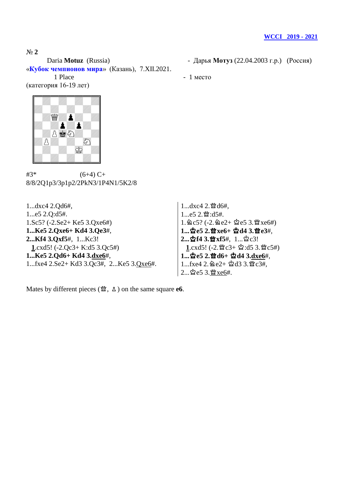Daria **Motuz** (Russia) - Дарья **Мотуз** (22.04.2003 г.р.) (Россия) «**Кубок чемпионов мира**» (Казань), 7.XII.2021.

1 Place - 1 место

(категория 16-19 лет)



 $#3^*$  (6+4) C+ 8/8/2Q1p3/3p1p2/2PkN3/1P4N1/5K2/8

1...dxc4 2.Qd6#, 1...e5 2.Q:d5#. 1.Sc5? (-2.Se2+ Ke5 3.Qxe6#) **1...Ke5 2.Qxe6+ Kd4 3.Qe3**#, **2...Kf4 3.Qxf5**#, 1...Kc3! **1**.cxd5! (-2.Qc3+ K:d5 3.Qc5#) **1...Ke5 2.Qd6+ Kd4 3.dxe6**#, 1...fxe4 2.Se2+ Kd3 3.Qc3#, 2...Ke5 3.Qxe6#.

1...dxc4 2. 暨d6#,  $1...e5$   $2.\mathfrak{B}:\mathrm{d}5\#$ .  $1.\,\&c5?$  (-2.  $\&e2+\&e5.3.\,\&xee6\#$ ) **1...**u**e5 2.**s**xe6+** u**d4 3.**s**e3**#,  $2...$ ☆f4 3. ★xf5#, 1...☆c3! 1.cxd5! (-2. 營c3+ 空:d5 3. 營c5#) **1...**空e5 2.暨d6+ 空d4 3.dxe6#,  $1...$ fxe4 2.  $2e^{2+ 2d}$ d3 3.曾c3#,  $2...\&e53.\underline{w}xe6#$ .

Mates by different pieces ( $\mathfrak{B}$ ,  $\Delta$ ) on the same square **e6**.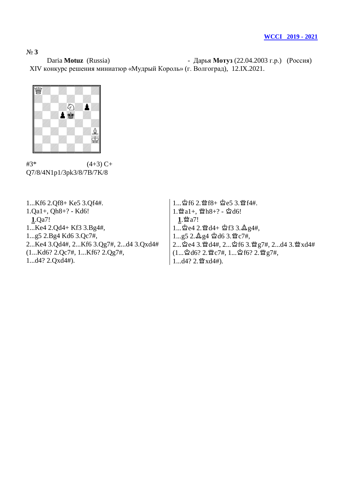Daria **Motuz** (Russia) - Дарья **Мотуз** (22.04.2003 г.р.) (Россия) XIV конкурс решения миниатюр «Мудрый Король» (г. Волгоград), 12.IX.2021.



 $#3^*$  (4+3) C+ Q7/8/4N1p1/3pk3/8/7B/7K/8

1...Kf6 2.Qf8+ Ke5 3.Qf4#. 1.Qa1+, Qh8+? - Kd6! **1**.Qa7! 1...Ke4 2.Qd4+ Kf3 3.Bg4#, 1...g5 2.Bg4 Kd6 3.Qc7#, 2...Ke4 3.Qd4#, 2...Kf6 3.Qg7#, 2...d4 3.Qxd4# (1...Kd6? 2.Qc7#, 1...Kf6? 2.Qg7#, 1...d4? 2.Qxd4#).

 $1...$ ☆f6 2.營f8+ ☆e5 3.營f4#. 1.  $a_1 +$ , 曾h8+? - 空d6! 1.營a7!  $1...$ ☆e4 2. 曾d4+ ☆f3 3.  $2.94$ #,  $1...$ g5  $2.\Delta$ g4  $\Delta$ d6  $3.\Delta$ c7#, 2... ጀe4 3. sd4#, 2... ጀf6 3. sg7#, 2...d4 3. sgxd4#  $(1...\Delta d6? 2.\mathfrak{B}c7\#, 1...\Delta f6? 2.\mathfrak{B}g7\#,$  $1...d4?2$ .  $\mathbb{N}$  xd4#).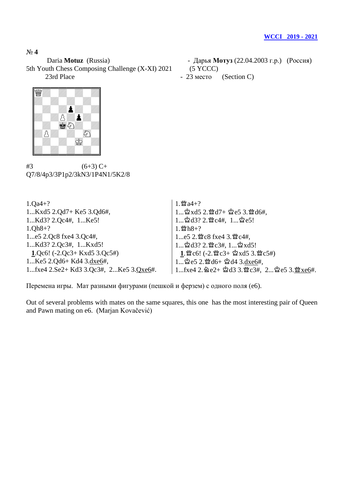5th Youth Chess Composing Challenge (X-XI) 2021 (5 YCCC) 23rd Place - 23 место (Section C)

- Daria **Motuz** (Russia) Дарья **Мотуз** (22.04.2003 г.р.) (Россия)
	-
	-



 $#3$  (6+3) C+ Q7/8/4p3/3P1p2/3kN3/1P4N1/5K2/8

| $1.0a4+?$                              | $1.$ 2 a 4 + ?                                                                                 |
|----------------------------------------|------------------------------------------------------------------------------------------------|
| 1Kxd5 2.Qd7+ Ke5 3.Qd6#,               | $1$ ☆xd5 2.營d7+ ☆e5 3.營d6#,                                                                    |
| 1Kd3? 2.Qc4#, 1Ke5!                    | $1$ 2d3? 2. $2 \times 4$ #, $1$ 2e5!                                                           |
| $1.0h8+?$                              | $1.$ 營h8+?                                                                                     |
| 1e5 2.Qc8 fxe4 3.Qc4#,                 | 1e5 2. 暨c8 fxe4 3. 暨c4#,                                                                       |
| 1Kd3? 2.Qc3#, 1Kxd5!                   | $1\overset{\circ}{\omega}d3?$ $2.\overset{\circ}{\omega}c3\#$ , $1\overset{\circ}{\omega}xd5!$ |
| 1.Qc6! $(-2.Qc3+Kxd5 3.Qc5#)$          | 1. 曾c6! (-2. 曾c3+ 含xd5 3. 曾c5#)                                                                |
| 1Ke5 2.Qd6+ Kd4 3.dxe6#,               | $1$ 空e5 2. 營d6+ 空d4 3.dxe6#,                                                                   |
| 1fxe4 2.Se2+ Kd3 3.Qc3#, 2Ke5 3.Qxe6#. | 1fxe4 2. $2e^{2}$ + $2d3$ 3. $2f$ $2f$ , $2f$ $2e5$ 3. $2f$ $2f$ $2f$                          |

Перемена игры. Мат разными фигурами (пешкой и ферзем) с одного поля (e6).

Out of several problems with mates on the same squares, this one has the most interesting pair of Queen and Pawn mating on e6. (Marjan Kovačević)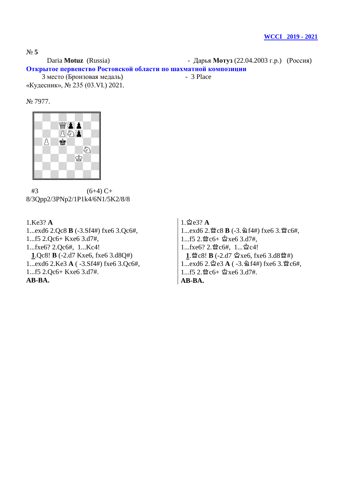Daria **Motuz** (Russia) - Дарья **Мотуз** (22.04.2003 г.р.) (Россия) **Открытое первенство Ростовской области по шахматной композиции** 

 3 место (Бронзовая медаль) - 3 Place «Кудесник», № 235 (03.VI.) 2021.

No 7977.



 $#3$  (6+4) C+ 8/3Qpp2/3PNp2/1P1k4/6N1/5K2/8/8

1.Ke3? **A** 1...exd6 2.Qc8 **B** (-3.Sf4#) fxe6 3.Qc6#, 1...f5 2.Qc6+ Kxe6 3.d7#, 1...fxe6? 2.Qc6#, 1...Kc4! **1**.Qc8! **B** (-2.d7 Kxe6, fxe6 3.d8Q#) 1...exd6 2.Ke3 **A** ( -3.Sf4#) fxe6 3.Qc6#, 1...f5 2.Qc6+ Kxe6 3.d7#. **AB-BA.**

 $1.\n$  $2e3?$  **A** 1...exd6 2. 曾c8 **B** (-3.  $\triangleq$  f4#) fxe6 3. 曾c6#,  $1...$ f5 2. $\mathfrak{B}$ c6+  $\mathfrak{B}$ xe6 3.d7#,  $1...$ fxe6?  $2.\mathfrak{B}$ c6#,  $1...\mathfrak{B}$ c4!  $1.$   $\mathcal{L} \otimes 8! \mathbf{B}$  (-2.d7  $\mathcal{L} \otimes 6$ , fxe6 3.d8 $\mathcal{L} \otimes 4$ )  $1...exd6$   $2.\,$  $2e3$   $A$   $(-3.\,2f4#)$  fxe6  $3.\,$  $2e6#$ ,  $1...$ f5 2. $\mathfrak{B}$ c6+  $\mathfrak{B}$ xe6 3.d7#. **AB-BA.**